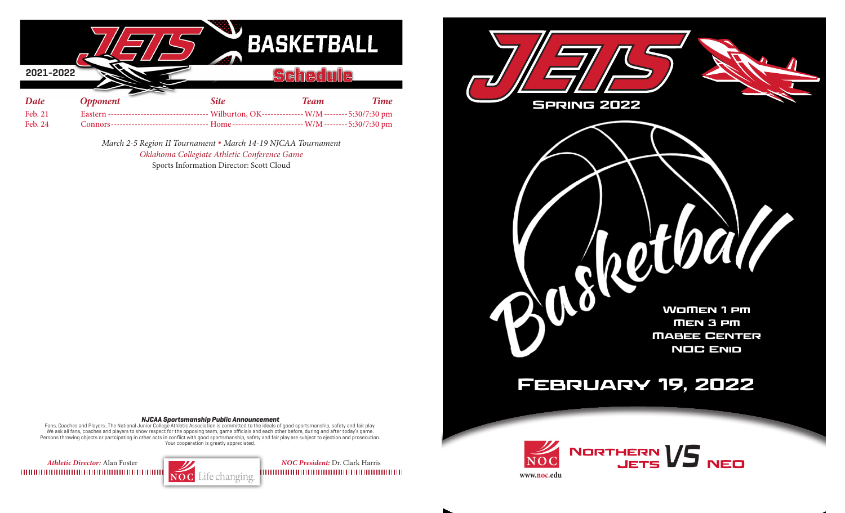|           |                 |                | BASKETBALL  |                               |
|-----------|-----------------|----------------|-------------|-------------------------------|
| 2021-2022 |                 |                | ᆗ           | Œ                             |
|           |                 |                |             |                               |
| Date      | <b>Opponent</b> | <b>Site</b>    | <b>Team</b> | <b>Time</b>                   |
| Feb. 21   | <b>Eastern</b>  | Wilburton, OK- |             | W/M--------5:30/7:30 pm       |
| Feb. 24   | Connors-        | Home-          |             | $- W/M$ -------- 5:30/7:30 pm |

*March 2-5 Region II Tournament* **.** *March 14-19 NJCAA Tournament Oklahoma Collegiate Athletic Conference Game* Sports Information Director: Scott Cloud



## **NJCAA Sportsmanship Public Announcement**

Fans, Coaches and Players...The National Junior College Athletic Association is committed to the ideals of good sportsmanship, safety and fair play. We ask all fans, coaches and players to show respect for the opposing team, game officials and each other before, during and after today's game. Persons throwing objects or partcipating in other acts in conflict with good sportsmanship, safety and fair play are subject to ejection and prosecution. Your cooperation is greatly appreciated.

*Athletic Director: Alan Foster NOC President: Dr. Clark Harris NOC President: Dr. Clark Harris NOC President: Dr. Clark Harris*